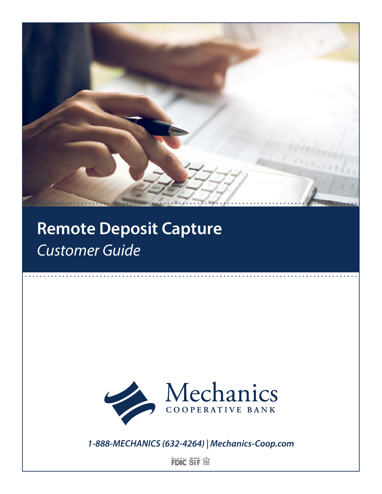

## **Remote Deposit Capture** *Customer Guide*



*1-888-MECHANICS (632-4264) | Mechanics-Coop.com*

**FDIC SIF**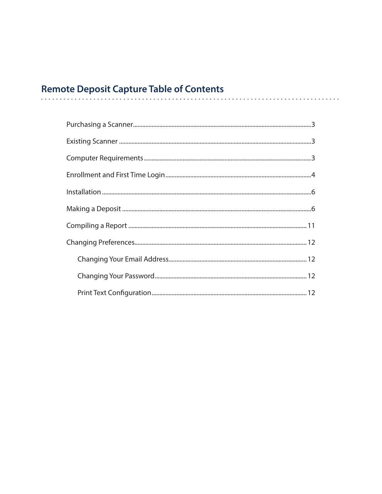# Remote Deposit Capture Table of Contents

. . . . . . . . . . . . . . . . . .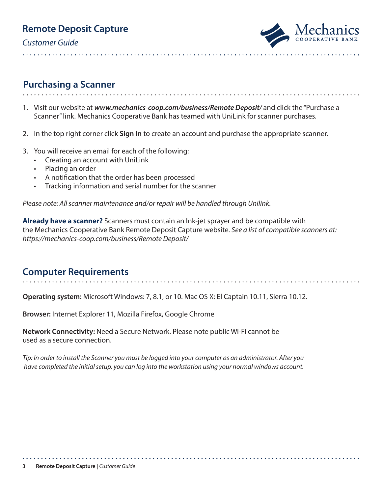*Customer Guide*



## **Purchasing a Scanner**

- 1. Visit our website at *www.mechanics-coop.com/business/Remote Deposit/* and click the "Purchase a Scanner" link. Mechanics Cooperative Bank has teamed with UniLink for scanner purchases.
- 2. In the top right corner click **Sign In** to create an account and purchase the appropriate scanner.
- 3. You will receive an email for each of the following:
	- Creating an account with UniLink
	- Placing an order
	- A notification that the order has been processed

• Tracking information and serial number for the scanner

*Please note: All scanner maintenance and/or repair will be handled through Unilink.*

**Already have a scanner?** Scanners must contain an Ink-jet sprayer and be compatible with the Mechanics Cooperative Bank Remote Deposit Capture website. *See a list of compatible scanners at: https://mechanics-coop.com/business/Remote Deposit/*

## **Computer Requirements**

**Operating system:** Microsoft Windows: 7, 8.1, or 10. Mac OS X: El Captain 10.11, Sierra 10.12.

**Browser:** Internet Explorer 11, Mozilla Firefox, Google Chrome

**Network Connectivity:** Need a Secure Network. Please note public Wi-Fi cannot be used as a secure connection.

*Tip: In order to install the Scanner you must be logged into your computer as an administrator. After you have completed the initial setup, you can log into the workstation using your normal windows account.*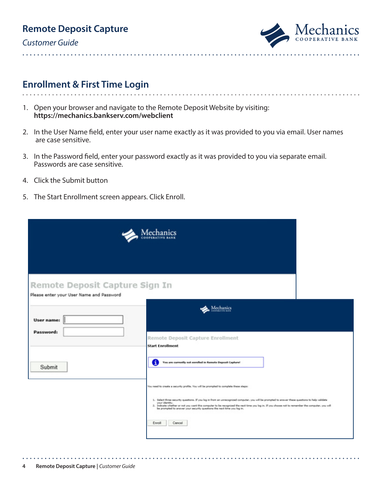*Customer Guide*



#### **Enrollment & First Time Login**

- 1. Open your browser and navigate to the Remote Deposit Website by visiting: **https://mechanics.bankserv.com/webclient**
- 2. In the User Name field, enter your user name exactly as it was provided to you via email. User names are case sensitive.
- 3. In the Password field, enter your password exactly as it was provided to you via separate email. Passwords are case sensitive.
- 4. Click the Submit button
- 5. The Start Enrollment screen appears. Click Enroll.

|                                                                                          | Mechanics                                                                                                                                                                                                                                                          |  |
|------------------------------------------------------------------------------------------|--------------------------------------------------------------------------------------------------------------------------------------------------------------------------------------------------------------------------------------------------------------------|--|
|                                                                                          |                                                                                                                                                                                                                                                                    |  |
| Remote Deposit Capture Sign In<br>Please enter your User Name and Password<br>User name: | Mechanics                                                                                                                                                                                                                                                          |  |
| Password:                                                                                | Remote Deposit Capture Enrollment<br><b>Start Enrollment</b><br>61<br>You are currently not enrolled in Remote Deposit Capture!                                                                                                                                    |  |
| Submit                                                                                   | You need to create a security profile. You will be prompted to complete these steps:<br>1. Select three security questions. If you log in from an unrecognized computer, you will be prompted to answer these questions to help validate                           |  |
|                                                                                          | your identity.<br>2. Indicate whether or not you went this computer to be recognized the next time you log in. If you choose not to remember the computer, you will<br>be prompted to answer your security questions the next time you log in.<br>Enroll<br>Cancel |  |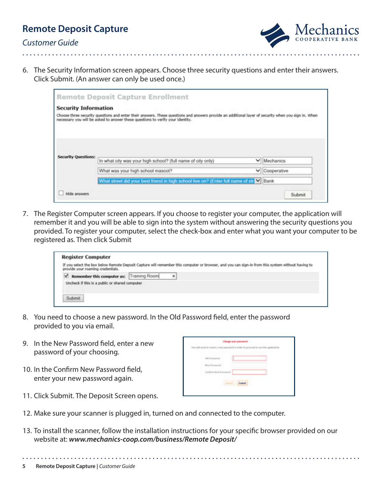

6. The Security Information screen appears. Choose three security questions and enter their answers. Click Submit. (An answer can only be used once.)

. . . . . . . . . . . . . . .

| <b>Security Information</b> |                                                                                                                                                                                                                                       |               |
|-----------------------------|---------------------------------------------------------------------------------------------------------------------------------------------------------------------------------------------------------------------------------------|---------------|
|                             | Choose three security questions and enter their answers. These questions and answers provide an additional layer of security when you sign in. When<br>necessary you will be asked to answer these questions to verify your identity. |               |
|                             |                                                                                                                                                                                                                                       |               |
|                             | In what city was your high school? (full name of city only)                                                                                                                                                                           | V Mechanics   |
| <b>Security Questions:</b>  | What was your high school mascot?                                                                                                                                                                                                     | V Cooperative |

7. The Register Computer screen appears. If you choose to register your computer, the application will remember it and you will be able to sign into the system without answering the security questions you provided. To register your computer, select the check-box and enter what you want your computer to be registered as. Then click Submit

| <b>Register Computer</b>                       |                                                                                                                                                   |
|------------------------------------------------|---------------------------------------------------------------------------------------------------------------------------------------------------|
| provide your roaming credentials.              | If you select the box below Remote Deposit Capture will remember this computer or browser, and you can sign-in from this system without having to |
| Remember this computer as: Training Room<br>M. | ×                                                                                                                                                 |
| Uncheck if this is a public or shared computer |                                                                                                                                                   |

- 8. You need to choose a new password. In the Old Password field, enter the password provided to you via email.
- 9. In the New Password field, enter a new password of your choosing.
- 10. In the Confirm New Password field, enter your new password again.

| <b>IN Passwort</b>                       |              |  |
|------------------------------------------|--------------|--|
| <b>Bracksmann</b>                        |              |  |
| Confort Now Payment<br><b>CONTRACTOR</b> |              |  |
|                                          | <b>Count</b> |  |

- 11. Click Submit. The Deposit Screen opens.
- 12. Make sure your scanner is plugged in, turned on and connected to the computer.

. . . . . . . . . . . . . .

13. To install the scanner, follow the installation instructions for your specific browser provided on our website at: *www.mechanics-coop.com/business/Remote Deposit/*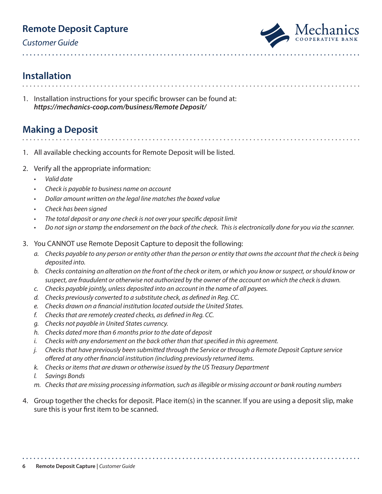#### *Customer Guide*



## **Installation**

1. Installation instructions for your specific browser can be found at: *https://mechanics-coop.com/business/Remote Deposit/*

## **Making a Deposit**

- 1. All available checking accounts for Remote Deposit will be listed.
- 2. Verify all the appropriate information:
	- *• Valid date*
	- *• Check is payable to business name on account*
	- *• Dollar amount written on the legal line matches the boxed value*
	- *• Check has been signed*
	- *• The total deposit or any one check is not over your specific deposit limit*
	- *• Do not sign or stamp the endorsement on the back of the check. This is electronically done for you via the scanner.*
- 3. You CANNOT use Remote Deposit Capture to deposit the following:
	- *a. Checks payable to any person or entity other than the person or entity that owns the account that the check is being deposited into.*
	- *b. Checks containing an alteration on the front of the check or item, or which you know or suspect, or should know or suspect, are fraudulent or otherwise not authorized by the owner of the account on which the check is drawn.*
	- *c. Checks payable jointly, unless deposited into an account in the name of all payees.*
	- *d. Checks previously converted to a substitute check, as defined in Reg. CC.*
	- *e. Checks drawn on a financial institution located outside the United States.*
	- *f. Checks that are remotely created checks, as defined in Reg. CC.*
	- *g. Checks not payable in United States currency.*
	- *h. Checks dated more than 6 months prior to the date of deposit*
	- *i. Checks with any endorsement on the back other than that specified in this agreement.*
	- *j. Checks that have previously been submitted through the Service or through a Remote Deposit Capture service offered at any other financial institution (including previously returned items.*
	- *k. Checks or items that are drawn or otherwise issued by the US Treasury Department*
	- *l. Savings Bonds*
	- *m. Checks that are missing processing information, such as illegible or missing account or bank routing numbers*
- 4. Group together the checks for deposit. Place item(s) in the scanner. If you are using a deposit slip, make sure this is your first item to be scanned.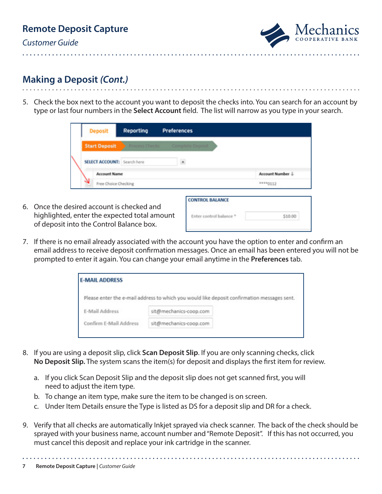|  | <b>Remote Deposit Capture</b> |
|--|-------------------------------|
|  |                               |



#### **Making a Deposit** *(Cont.)*

5. Check the box next to the account you want to deposit the checks into. You can search for an account by type or last four numbers in the **Select Account** field. The list will narrow as you type in your search.

|  | <b>Deposit</b>                     | Reporting             | <b>Preferences</b> |                |
|--|------------------------------------|-----------------------|--------------------|----------------|
|  | <b>Start Deposit</b>               | <b>Process Checks</b> | Complete Deposit   |                |
|  | <b>SELECT ACCOUNT: Search here</b> |                       | $\mathbf{x}$       |                |
|  | <b>Account Name</b>                |                       |                    | Account Number |
|  | Free Choice Checking               |                       |                    | $***0112$      |

6. Once the desired account is checked and highlighted, enter the expected total amount of deposit into the Control Balance box.

| \$10.00 |
|---------|
|         |

7. If there is no email already associated with the account you have the option to enter and confirm an email address to receive deposit confirmation messages. Once an email has been entered you will not be prompted to enter it again. You can change your email anytime in the **Preferences** tab.

| <b>E-MAIL ADDRESS</b>  |                        |                                                                                             |
|------------------------|------------------------|---------------------------------------------------------------------------------------------|
|                        |                        | Please enter the e-mail address to which you would like deposit confirmation messages sent. |
| E-Mail Address         | sit@mechanics-coop.com |                                                                                             |
| Confirm E-Mail Address | sit@mechanics-coop.com |                                                                                             |

- 8. If you are using a deposit slip, click **Scan Deposit Slip**. If you are only scanning checks, click **No Deposit Slip.** The system scans the item(s) for deposit and displays the first item for review.
	- a. If you click Scan Deposit Slip and the deposit slip does not get scanned first, you will need to adjust the item type.
	- b. To change an item type, make sure the item to be changed is on screen.
	- c. Under Item Details ensure the Type is listed as DS for a deposit slip and DR for a check.

. . . . . . . . . . . . . . . . . .

9. Verify that all checks are automatically Inkjet sprayed via check scanner. The back of the check should be sprayed with your business name, account number and "Remote Deposit". If this has not occurred, you must cancel this deposit and replace your ink cartridge in the scanner.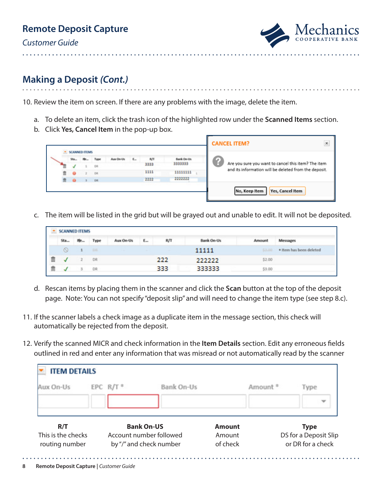

*Customer Guide*

## **Making a Deposit** *(Cont.)*

10. Review the item on screen. If there are any problems with the image, delete the item.

- a. To delete an item, click the trash icon of the highlighted row under the **Scanned Items** section.
- b. Click **Yes, Cancel Item** in the pop-up box.

|  | <b>SCANNED ITEMS</b> |  |      |            |    |                                                       |
|--|----------------------|--|------|------------|----|-------------------------------------------------------|
|  |                      |  | R/T  | Bank On-Uk | u. |                                                       |
|  |                      |  | 3333 | 3333333    |    | Are you sure you want to cancel this item? The item   |
|  |                      |  | 1111 | 11111111   |    | and its information will be deleted from the deposit. |
|  |                      |  | 2222 | 2222222    |    |                                                       |

c. The item will be listed in the grid but will be grayed out and unable to edit. It will not be deposited.

|            | <b>SCANNED ITEMS</b> |       |           |   |     |                   |        |                         |
|------------|----------------------|-------|-----------|---|-----|-------------------|--------|-------------------------|
| Sta        | <b>IRC </b>          | Type  | Aux On-Us | ε | R/T | <b>Bank On-Us</b> | Amount | Messages                |
| $^{\circ}$ |                      | Dill. |           |   |     | 11111             | \$3,00 | * Item has been deleted |
|            |                      | DR    |           |   | 222 | 222222            | \$2.00 |                         |
|            |                      | DR    |           |   | 333 | 333333            | \$3.00 |                         |

- d. Rescan items by placing them in the scanner and click the **Scan** button at the top of the deposit page. Note: You can not specify "deposit slip" and will need to change the item type (see step 8.c).
- 11. If the scanner labels a check image as a duplicate item in the message section, this check will automatically be rejected from the deposit.
- 12. Verify the scanned MICR and check information in the **Item Details** section. Edit any erroneous fields outlined in red and enter any information that was misread or not automatically read by the scanner

| <b>ITEM DETAILS</b> |                        |                         |               |                       |                   |
|---------------------|------------------------|-------------------------|---------------|-----------------------|-------------------|
| Aux On-Us           | EPC $R/T$ <sup>*</sup> | Bank On-Us              |               | Amount <sup>#</sup>   | Type              |
|                     |                        |                         |               |                       |                   |
| R/T                 |                        | <b>Bank On-US</b>       | <b>Amount</b> |                       | <b>Type</b>       |
| This is the checks  |                        | Account number followed | Amount        | DS for a Deposit Slip |                   |
| routing number      |                        | by "/" and check number | of check      |                       | or DR for a check |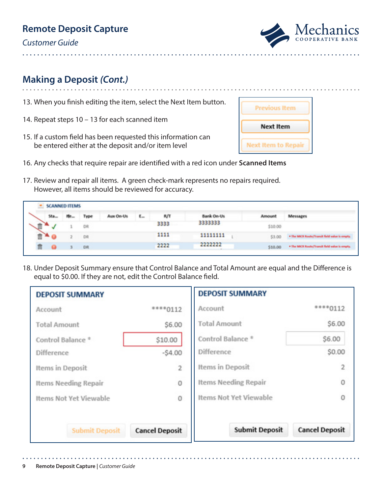*Customer Guide*

## **Making a Deposit** *(Cont.)*

13. When you finish editing the item, select the Next Item button.

. . . . . . . . . . . . . . . . . . .

- 14. Repeat steps 10 13 for each scanned item
- 15. If a custom field has been requested this information can be entered either at the deposit and/or item level
- 16. Any checks that require repair are identified with a red icon under **Scanned Items**
- 17. Review and repair all items. A green check-mark represents no repairs required. However, all items should be reviewed for accuracy.

|                    | <b>SCANNED ITEMS</b> |      |           |         |      |                   |         |                                               |
|--------------------|----------------------|------|-----------|---------|------|-------------------|---------|-----------------------------------------------|
| $Sta$ <sub>-</sub> | ne                   | Type | Aux On-Us | $L_{-}$ | R/T  | <b>Bank On-Us</b> | Amount  | <b>Messages</b>                               |
|                    |                      | DR   |           |         | 3333 | 3333333           | \$10.00 |                                               |
| ^ በ                |                      | DR   |           |         | 1111 | 11111111          | \$3.00  | . The MCA Route/Transit field value is empty. |
|                    |                      | DR   |           |         | 2222 | 2222222           | \$10.00 | . The MCR Route/Transit field value is empty. |

18. Under Deposit Summary ensure that Control Balance and Total Amount are equal and the Difference is equal to \$0.00. If they are not, edit the Control Balance field.

| <b>DEPOSIT SUMMARY</b>       |                       | <b>DEPOSIT SUMMARY</b> |                       |
|------------------------------|-----------------------|------------------------|-----------------------|
| Account                      | **** 0112             | Account                | **** 0112             |
| <b>Total Amount</b>          | \$6.00                | <b>Total Amount</b>    | \$6.00                |
| Control Balance <sup>#</sup> | \$10.00               | Control Balance *      | \$6.00                |
| Difference                   | $-54.00$              | <b>Difference</b>      | \$0.00                |
| Items in Deposit             | $\overline{2}$        | Items in Deposit       | $\overline{2}$        |
| Items Needing Repair         | 0                     | Items Needing Repair   | 0                     |
| Items Not Yet Viewable       | $\circ$               | Items Not Yet Viewable | 0                     |
| <b>Submit Deposit</b>        | <b>Cancel Deposit</b> | <b>Submit Deposit</b>  | <b>Cancel Deposit</b> |



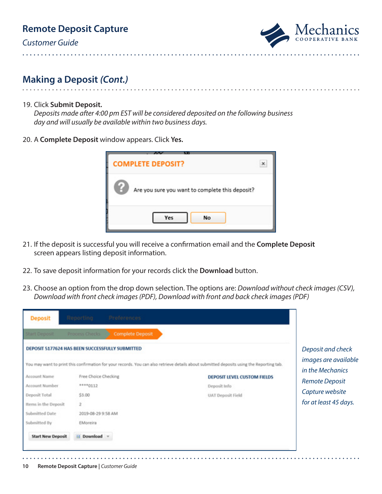*Customer Guide*



## **Making a Deposit** *(Cont.)*

#### 19. Click **Submit Deposit.**

*Deposits made after 4:00 pm EST will be considered deposited on the following business day and will usually be available within two business days.*

20. A **Complete Deposit** window appears. Click **Yes.**

| Anv<br><b>START</b><br><b>COMPLETE DEPOSIT?</b>      |  |
|------------------------------------------------------|--|
| R<br>Are you sure you want to complete this deposit? |  |
| No<br>Yes                                            |  |

- 21. If the deposit is successful you will receive a confirmation email and the **Complete Deposit**  screen appears listing deposit information.
- 22. To save deposit information for your records click the **Download** button.
- 23. Choose an option from the drop down selection. The options are: *Download without check images (CSV), Download with front check images (PDF), Download with front and back check images (PDF)*

| <b>Deposit</b>                                                                                           | Reporting<br><b>Preferences</b>                                                   |                                                                                                                                           |                                                                                       |
|----------------------------------------------------------------------------------------------------------|-----------------------------------------------------------------------------------|-------------------------------------------------------------------------------------------------------------------------------------------|---------------------------------------------------------------------------------------|
| <b>Start Deposit</b>                                                                                     | Process Checks<br><b>Complete Deposit</b>                                         |                                                                                                                                           |                                                                                       |
|                                                                                                          | DEPOSIT 5177624 HAS BEEN SUCCESSFULLY SUBMITTED                                   | You may want to print this confirmation for your records. You can also retrieve details about submitted deposits using the Reporting tab. | Deposit and check<br>images are available                                             |
| Account Name<br>Account Number<br>Deposit Total<br>Rems in the Deposit<br>Submitted Date<br>Submitted By | Free Choice Checking<br>****0112<br>\$3.00<br>2<br>2019-08-29 9:58 AM<br>EMoreira | DEPOSIT LEVEL CUSTOM FIELDS<br>Deposit Info<br>UAT Deposit Field                                                                          | in the Mechanics<br><b>Remote Deposit</b><br>Capture website<br>for at least 45 days. |
| <b>Start New Deposit</b>                                                                                 | El Download v                                                                     |                                                                                                                                           |                                                                                       |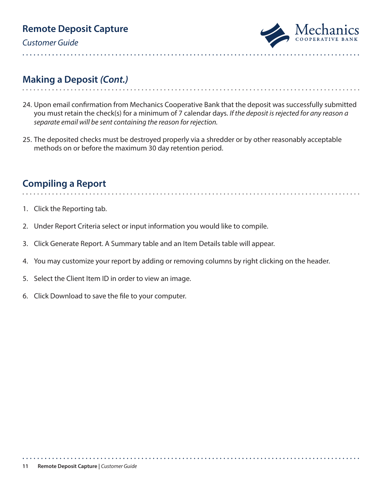*Customer Guide*



#### **Making a Deposit** *(Cont.)*

24. Upon email confirmation from Mechanics Cooperative Bank that the deposit was successfully submitted you must retain the check(s) for a minimum of 7 calendar days. *If the deposit is rejected for any reason a separate email will be sent containing the reason for rejection.*

25. The deposited checks must be destroyed properly via a shredder or by other reasonably acceptable methods on or before the maximum 30 day retention period.

#### **Compiling a Report**

- 1. Click the Reporting tab.
- 2. Under Report Criteria select or input information you would like to compile.
- 3. Click Generate Report. A Summary table and an Item Details table will appear.
- 4. You may customize your report by adding or removing columns by right clicking on the header.
- 5. Select the Client Item ID in order to view an image.
- 6. Click Download to save the file to your computer.